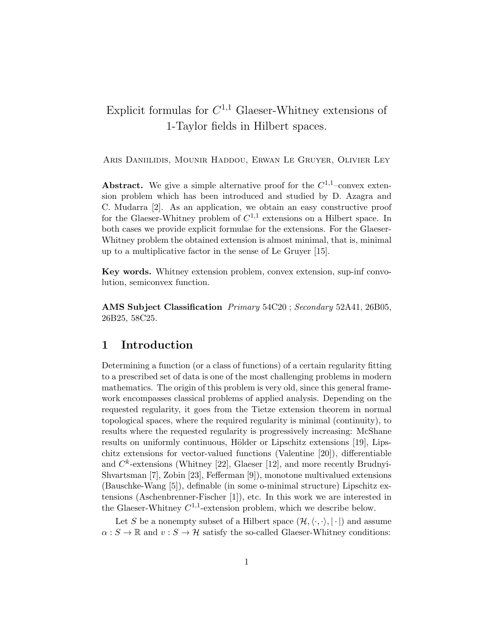# Explicit formulas for  $C^{1,1}$  Glaeser-Whitney extensions of 1-Taylor fields in Hilbert spaces.

Aris Daniilidis, Mounir Haddou, Erwan Le Gruyer, Olivier Ley

**Abstract.** We give a simple alternative proof for the  $C^{1,1}$ -convex extension problem which has been introduced and studied by D. Azagra and C. Mudarra [2]. As an application, we obtain an easy constructive proof for the Glaeser-Whitney problem of  $C^{1,1}$  extensions on a Hilbert space. In both cases we provide explicit formulae for the extensions. For the Glaeser-Whitney problem the obtained extension is almost minimal, that is, minimal up to a multiplicative factor in the sense of Le Gruyer [15].

Key words. Whitney extension problem, convex extension, sup-inf convolution, semiconvex function.

AMS Subject Classification Primary 54C20; Secondary 52A41, 26B05, 26B25, 58C25.

## 1 Introduction

Determining a function (or a class of functions) of a certain regularity fitting to a prescribed set of data is one of the most challenging problems in modern mathematics. The origin of this problem is very old, since this general framework encompasses classical problems of applied analysis. Depending on the requested regularity, it goes from the Tietze extension theorem in normal topological spaces, where the required regularity is minimal (continuity), to results where the requested regularity is progressively increasing: McShane results on uniformly continuous, Hölder or Lipschitz extensions [19], Lipschitz extensions for vector-valued functions (Valentine [20]), differentiable and  $C^k$ -extensions (Whitney [22], Glaeser [12], and more recently Brudnyi-Shvartsman [7], Zobin [23], Fefferman [9]), monotone multivalued extensions (Bauschke-Wang [5]), definable (in some o-minimal structure) Lipschitz extensions (Aschenbrenner-Fischer [1]), etc. In this work we are interested in the Glaeser-Whitney  $C^{1,1}$ -extension problem, which we describe below.

Let S be a nonempty subset of a Hilbert space  $(\mathcal{H}, \langle \cdot, \cdot \rangle, |\cdot|)$  and assume  $\alpha : S \to \mathbb{R}$  and  $v : S \to \mathcal{H}$  satisfy the so-called Glaeser-Whitney conditions: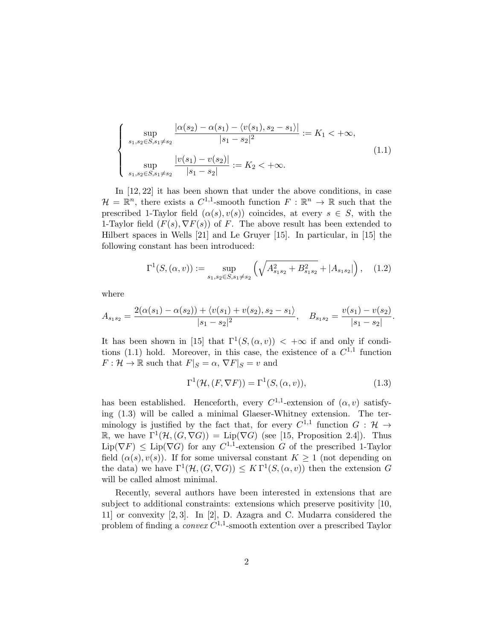$$
\begin{cases}\n\sup_{s_1, s_2 \in S, s_1 \neq s_2} \frac{|\alpha(s_2) - \alpha(s_1) - \langle v(s_1), s_2 - s_1 \rangle|}{|s_1 - s_2|^2} := K_1 < +\infty, \\
\sup_{s_1, s_2 \in S, s_1 \neq s_2} \frac{|v(s_1) - v(s_2)|}{|s_1 - s_2|} := K_2 < +\infty.\n\end{cases} \tag{1.1}
$$

In [12, 22] it has been shown that under the above conditions, in case  $\mathcal{H} = \mathbb{R}^n$ , there exists a  $C^{1,1}$ -smooth function  $F : \mathbb{R}^n \to \mathbb{R}$  such that the prescribed 1-Taylor field  $(\alpha(s), v(s))$  coincides, at every  $s \in S$ , with the 1-Taylor field  $(F(s), \nabla F(s))$  of F. The above result has been extended to Hilbert spaces in Wells [21] and Le Gruyer [15]. In particular, in [15] the following constant has been introduced:

$$
\Gamma^{1}(S, (\alpha, v)) := \sup_{s_1, s_2 \in S, s_1 \neq s_2} \left( \sqrt{A_{s_1 s_2}^2 + B_{s_1 s_2}^2} + |A_{s_1 s_2}| \right), \quad (1.2)
$$

where

$$
A_{s_1s_2} = \frac{2(\alpha(s_1) - \alpha(s_2)) + \langle v(s_1) + v(s_2), s_2 - s_1 \rangle}{|s_1 - s_2|^2}, \quad B_{s_1s_2} = \frac{v(s_1) - v(s_2)}{|s_1 - s_2|}.
$$

It has been shown in [15] that  $\Gamma^1(S,(\alpha,v)) < +\infty$  if and only if conditions (1.1) hold. Moreover, in this case, the existence of a  $C^{1,1}$  function  $F: \mathcal{H} \to \mathbb{R}$  such that  $F|_S = \alpha$ ,  $\nabla F|_S = v$  and

$$
\Gamma^{1}(\mathcal{H}, (F, \nabla F)) = \Gamma^{1}(S, (\alpha, v)), \qquad (1.3)
$$

has been established. Henceforth, every  $C^{1,1}$ -extension of  $(\alpha, v)$  satisfying (1.3) will be called a minimal Glaeser-Whitney extension. The terminology is justified by the fact that, for every  $C^{1,1}$  function  $G: \mathcal{H} \to$  $\mathbb{R}$ , we have  $\Gamma^1(\mathcal{H}, (G, \nabla G)) = \text{Lip}(\nabla G)$  (see [15, Proposition 2.4]). Thus  $\text{Lip}(\nabla F) \leq \text{Lip}(\nabla G)$  for any  $C^{1,1}$ -extension G of the prescribed 1-Taylor field  $(\alpha(s), v(s))$ . If for some universal constant  $K \geq 1$  (not depending on the data) we have  $\Gamma^1(\mathcal{H}, (G, \nabla G)) \leq K \Gamma^1(S, (\alpha, v))$  then the extension G will be called almost minimal.

Recently, several authors have been interested in extensions that are subject to additional constraints: extensions which preserve positivity [10, 11] or convexity [2, 3]. In [2], D. Azagra and C. Mudarra considered the problem of finding a *convex*  $C^{1,1}$ -smooth extention over a prescribed Taylor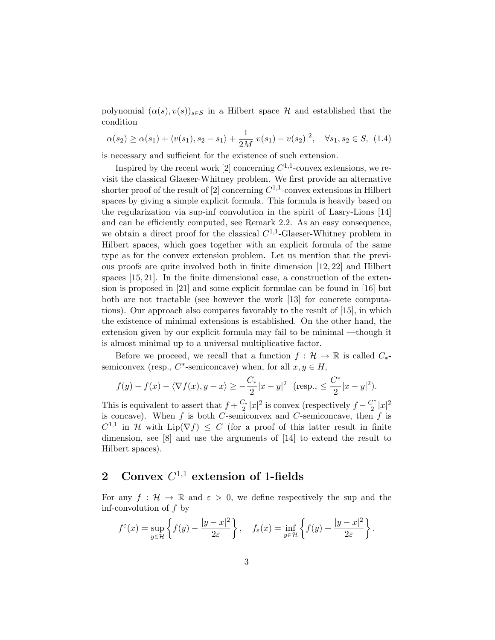polynomial  $(\alpha(s), v(s))_{s \in S}$  in a Hilbert space H and established that the condition

$$
\alpha(s_2) \ge \alpha(s_1) + \langle v(s_1), s_2 - s_1 \rangle + \frac{1}{2M} |v(s_1) - v(s_2)|^2, \quad \forall s_1, s_2 \in S, \tag{1.4}
$$

is necessary and sufficient for the existence of such extension.

Inspired by the recent work [2] concerning  $C^{1,1}$ -convex extensions, we revisit the classical Glaeser-Whitney problem. We first provide an alternative shorter proof of the result of [2] concerning  $C^{1,1}$ -convex extensions in Hilbert spaces by giving a simple explicit formula. This formula is heavily based on the regularization via sup-inf convolution in the spirit of Lasry-Lions [14] and can be efficiently computed, see Remark 2.2. As an easy consequence, we obtain a direct proof for the classical  $C^{1,1}$ -Glaeser-Whitney problem in Hilbert spaces, which goes together with an explicit formula of the same type as for the convex extension problem. Let us mention that the previous proofs are quite involved both in finite dimension [12, 22] and Hilbert spaces [15, 21]. In the finite dimensional case, a construction of the extension is proposed in [21] and some explicit formulae can be found in [16] but both are not tractable (see however the work [13] for concrete computations). Our approach also compares favorably to the result of [15], in which the existence of minimal extensions is established. On the other hand, the extension given by our explicit formula may fail to be minimal —though it is almost minimal up to a universal multiplicative factor.

Before we proceed, we recall that a function  $f : \mathcal{H} \to \mathbb{R}$  is called  $C_{*}$ semiconvex (resp.,  $C^*$ -semiconcave) when, for all  $x, y \in H$ ,

$$
f(y) - f(x) - \langle \nabla f(x), y - x \rangle \ge -\frac{C_*}{2}|x - y|^2
$$
 (resp.,  $\le \frac{C^*}{2}|x - y|^2$ ).

This is equivalent to assert that  $f + \frac{C_*}{2}|x|^2$  is convex (respectively  $f - \frac{C^*}{2}$  $\frac{y^*}{2}|x|^2$ is concave). When  $f$  is both C-semiconvex and C-semiconcave, then  $f$  is  $C^{1,1}$  in H with  $\text{Lip}(\nabla f) \leq C$  (for a proof of this latter result in finite dimension, see [8] and use the arguments of [14] to extend the result to Hilbert spaces).

# 2 Convex  $C^{1,1}$  extension of 1-fields

For any  $f: \mathcal{H} \to \mathbb{R}$  and  $\varepsilon > 0$ , we define respectively the sup and the inf-convolution of  $f$  by

$$
f^{\varepsilon}(x) = \sup_{y \in \mathcal{H}} \left\{ f(y) - \frac{|y - x|^2}{2\varepsilon} \right\}, \quad f_{\varepsilon}(x) = \inf_{y \in \mathcal{H}} \left\{ f(y) + \frac{|y - x|^2}{2\varepsilon} \right\}.
$$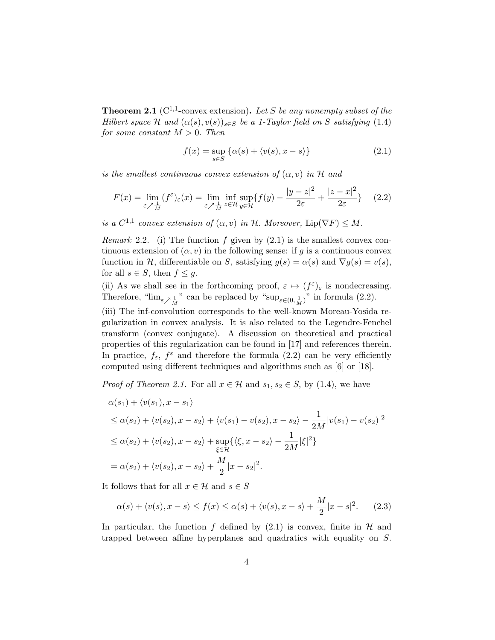**Theorem 2.1** ( $C^{1,1}$ -convex extension). Let S be any nonempty subset of the Hilbert space H and  $(\alpha(s), v(s))_{s \in S}$  be a 1-Taylor field on S satisfying (1.4) for some constant  $M > 0$ . Then

$$
f(x) = \sup_{s \in S} \{ \alpha(s) + \langle v(s), x - s \rangle \}
$$
 (2.1)

is the smallest continuous convex extension of  $(\alpha, v)$  in H and

$$
F(x) = \lim_{\varepsilon \nearrow \frac{1}{M}} (f^{\varepsilon})_{\varepsilon}(x) = \lim_{\varepsilon \nearrow \frac{1}{M}} \inf_{z \in \mathcal{H}} \sup_{y \in \mathcal{H}} \{ f(y) - \frac{|y - z|^2}{2\varepsilon} + \frac{|z - x|^2}{2\varepsilon} \} \tag{2.2}
$$

is a  $C^{1,1}$  convex extension of  $(\alpha, v)$  in H. Moreover,  $\text{Lip}(\nabla F) \leq M$ .

*Remark* 2.2. (i) The function  $f$  given by  $(2.1)$  is the smallest convex continuous extension of  $(\alpha, v)$  in the following sense: if g is a continuous convex function in H, differentiable on S, satisfying  $g(s) = \alpha(s)$  and  $\nabla g(s) = v(s)$ , for all  $s \in S$ , then  $f \leq g$ .

(ii) As we shall see in the forthcoming proof,  $\varepsilon \mapsto (f^{\varepsilon})_{\varepsilon}$  is nondecreasing. Therefore, " $\lim_{\varepsilon \nearrow \frac{1}{M}}$ " can be replaced by " $\sup_{\varepsilon \in (0, \frac{1}{M})}$ " in formula (2.2).

(iii) The inf-convolution corresponds to the well-known Moreau-Yosida regularization in convex analysis. It is also related to the Legendre-Fenchel transform (convex conjugate). A discussion on theoretical and practical properties of this regularization can be found in [17] and references therein. In practice,  $f_{\varepsilon}$ ,  $f^{\varepsilon}$  and therefore the formula (2.2) can be very efficiently computed using different techniques and algorithms such as [6] or [18].

*Proof of Theorem 2.1.* For all  $x \in \mathcal{H}$  and  $s_1, s_2 \in S$ , by (1.4), we have

$$
\alpha(s_1) + \langle v(s_1), x - s_1 \rangle
$$
  
\n
$$
\leq \alpha(s_2) + \langle v(s_2), x - s_2 \rangle + \langle v(s_1) - v(s_2), x - s_2 \rangle - \frac{1}{2M} |v(s_1) - v(s_2)|^2
$$
  
\n
$$
\leq \alpha(s_2) + \langle v(s_2), x - s_2 \rangle + \sup_{\xi \in \mathcal{H}} \{ \langle \xi, x - s_2 \rangle - \frac{1}{2M} |\xi|^2 \}
$$
  
\n
$$
= \alpha(s_2) + \langle v(s_2), x - s_2 \rangle + \frac{M}{2} |x - s_2|^2.
$$

It follows that for all  $x \in \mathcal{H}$  and  $s \in S$ 

$$
\alpha(s) + \langle v(s), x - s \rangle \le f(x) \le \alpha(s) + \langle v(s), x - s \rangle + \frac{M}{2}|x - s|^2. \tag{2.3}
$$

In particular, the function f defined by  $(2.1)$  is convex, finite in H and trapped between affine hyperplanes and quadratics with equality on S.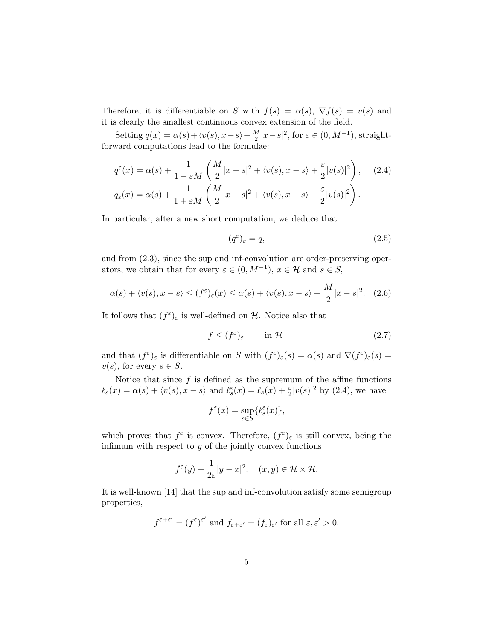Therefore, it is differentiable on S with  $f(s) = \alpha(s)$ ,  $\nabla f(s) = v(s)$  and it is clearly the smallest continuous convex extension of the field.

Setting  $q(x) = \alpha(s) + \langle v(s), x-s \rangle + \frac{M}{2}$  $\frac{M}{2}|x-s|^2$ , for  $\varepsilon \in (0, M^{-1})$ , straightforward computations lead to the formulae:

$$
q^{\varepsilon}(x) = \alpha(s) + \frac{1}{1 - \varepsilon M} \left( \frac{M}{2} |x - s|^2 + \langle v(s), x - s \rangle + \frac{\varepsilon}{2} |v(s)|^2 \right), \quad (2.4)
$$
  

$$
q_{\varepsilon}(x) = \alpha(s) + \frac{1}{1 + \varepsilon M} \left( \frac{M}{2} |x - s|^2 + \langle v(s), x - s \rangle - \frac{\varepsilon}{2} |v(s)|^2 \right).
$$

In particular, after a new short computation, we deduce that

$$
(q^{\varepsilon})_{\varepsilon} = q,\tag{2.5}
$$

and from (2.3), since the sup and inf-convolution are order-preserving operators, we obtain that for every  $\varepsilon \in (0, M^{-1}), x \in \mathcal{H}$  and  $s \in S$ ,

$$
\alpha(s) + \langle v(s), x - s \rangle \le (f^{\varepsilon})_{\varepsilon}(x) \le \alpha(s) + \langle v(s), x - s \rangle + \frac{M}{2}|x - s|^2. \tag{2.6}
$$

It follows that  $(f^{\varepsilon})_{\varepsilon}$  is well-defined on H. Notice also that

$$
f \le (f^{\varepsilon})_{\varepsilon} \qquad \text{in } \mathcal{H} \tag{2.7}
$$

and that  $(f^{\varepsilon})_{\varepsilon}$  is differentiable on S with  $(f^{\varepsilon})_{\varepsilon}(s) = \alpha(s)$  and  $\nabla (f^{\varepsilon})_{\varepsilon}(s) =$  $v(s)$ , for every  $s \in S$ .

Notice that since  $f$  is defined as the supremum of the affine functions  $\ell_s(x) = \alpha(s) + \langle v(s), x - s \rangle$  and  $\ell_s^{\varepsilon}(x) = \ell_s(x) + \frac{\varepsilon}{2} |v(s)|^2$  by (2.4), we have

$$
f^{\varepsilon}(x) = \sup_{s \in S} \{ \ell^{\varepsilon}_s(x) \},
$$

which proves that  $f^{\varepsilon}$  is convex. Therefore,  $(f^{\varepsilon})_{\varepsilon}$  is still convex, being the infimum with respect to  $y$  of the jointly convex functions

$$
f^{\varepsilon}(y) + \frac{1}{2\varepsilon}|y - x|^2
$$
,  $(x, y) \in \mathcal{H} \times \mathcal{H}$ .

It is well-known [14] that the sup and inf-convolution satisfy some semigroup properties,

$$
f^{\varepsilon+\varepsilon'} = (f^{\varepsilon})^{\varepsilon'}
$$
 and  $f_{\varepsilon+\varepsilon'} = (f_{\varepsilon})_{\varepsilon'}$  for all  $\varepsilon, \varepsilon' > 0$ .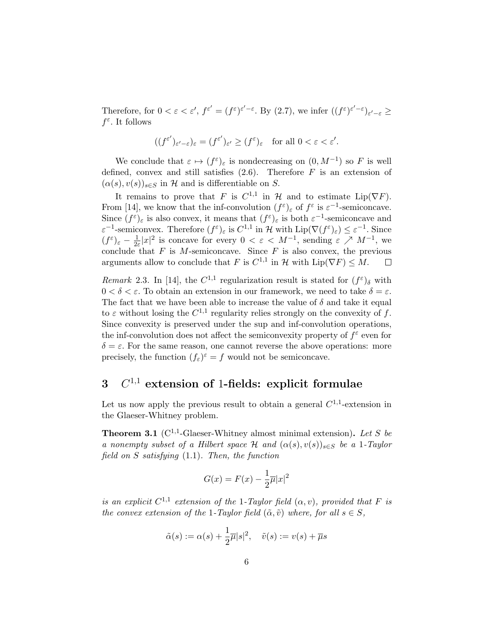Therefore, for  $0 < \varepsilon < \varepsilon'$ ,  $f^{\varepsilon'} = (f^{\varepsilon})^{\varepsilon' - \varepsilon}$ . By (2.7), we infer  $((f^{\varepsilon})^{\varepsilon' - \varepsilon})_{\varepsilon' - \varepsilon} \ge$  $f^{\varepsilon}$ . It follows

$$
((f^{\varepsilon'})_{\varepsilon'-\varepsilon})_\varepsilon=(f^{\varepsilon'})_{\varepsilon'}\geq (f^\varepsilon)_\varepsilon\quad\text{for all }0<\varepsilon<\varepsilon'.
$$

We conclude that  $\varepsilon \mapsto (f^{\varepsilon})_{\varepsilon}$  is nondecreasing on  $(0, M^{-1})$  so F is well defined, convex and still satisfies  $(2.6)$ . Therefore F is an extension of  $(\alpha(s), v(s))_{s \in S}$  in H and is differentiable on S.

It remains to prove that F is  $C^{1,1}$  in H and to estimate  $\text{Lip}(\nabla F)$ . From [14], we know that the inf-convolution  $(f^{\varepsilon})_{\varepsilon}$  of  $f^{\varepsilon}$  is  $\varepsilon^{-1}$ -semiconcave. Since  $(f^{\varepsilon})_{\varepsilon}$  is also convex, it means that  $(f^{\varepsilon})_{\varepsilon}$  is both  $\varepsilon^{-1}$ -semiconcave and  $\varepsilon^{-1}$ -semiconvex. Therefore  $(f^{\varepsilon})_{\varepsilon}$  is  $C^{1,1}$  in H with  $\text{Lip}(\nabla (f^{\varepsilon})_{\varepsilon}) \leq \varepsilon^{-1}$ . Since  $(f^{\varepsilon})_{\varepsilon} - \frac{1}{2\varepsilon}$  $\frac{1}{2\varepsilon}|x|^2$  is concave for every  $0 < \varepsilon < M^{-1}$ , sending  $\varepsilon \nearrow M^{-1}$ , we conclude that F is M-semiconcave. Since F is also convex, the previous arguments allow to conclude that F is  $C^{1,1}$  in H with  $\text{Lip}(\nabla F) \leq M$ .  $\Box$ 

Remark 2.3. In [14], the  $C^{1,1}$  regularization result is stated for  $(f^{\varepsilon})_{\delta}$  with  $0 < \delta < \varepsilon$ . To obtain an extension in our framework, we need to take  $\delta = \varepsilon$ . The fact that we have been able to increase the value of  $\delta$  and take it equal to  $\varepsilon$  without losing the  $C^{1,1}$  regularity relies strongly on the convexity of f. Since convexity is preserved under the sup and inf-convolution operations, the inf-convolution does not affect the semiconvexity property of  $f^{\varepsilon}$  even for  $\delta = \varepsilon$ . For the same reason, one cannot reverse the above operations: more precisely, the function  $(f_{\varepsilon})^{\varepsilon} = f$  would not be semiconcave.

# $3$   $C^{1,1}$  extension of 1-fields: explicit formulae

Let us now apply the previous result to obtain a general  $C^{1,1}$ -extension in the Glaeser-Whitney problem.

**Theorem 3.1** ( $C^{1,1}$ -Glaeser-Whitney almost minimal extension). Let S be a nonempty subset of a Hilbert space H and  $(\alpha(s), v(s))_{s \in S}$  be a 1-Taylor field on  $S$  satisfying  $(1.1)$ . Then, the function

$$
G(x) = F(x) - \frac{1}{2}\overline{\mu}|x|^2
$$

is an explicit  $C^{1,1}$  extension of the 1-Taylor field  $(\alpha, v)$ , provided that F is the convex extension of the 1-Taylor field  $(\tilde{\alpha}, \tilde{v})$  where, for all  $s \in S$ ,

$$
\tilde{\alpha}(s) := \alpha(s) + \frac{1}{2}\overline{\mu}|s|^2, \quad \tilde{v}(s) := v(s) + \overline{\mu}s
$$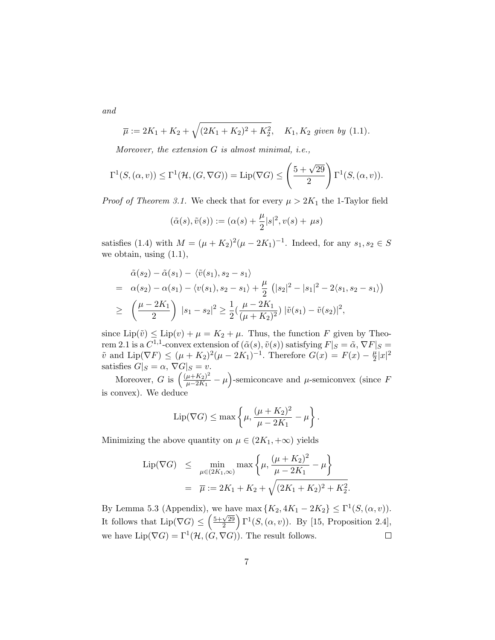and

$$
\overline{\mu} := 2K_1 + K_2 + \sqrt{(2K_1 + K_2)^2 + K_2^2}
$$
,  $K_1, K_2$  given by (1.1).

Moreover, the extension G is almost minimal, i.e.,

$$
\Gamma^{1}(S,(\alpha,v)) \leq \Gamma^{1}(\mathcal{H},(G,\nabla G)) = \text{Lip}(\nabla G) \leq \left(\frac{5+\sqrt{29}}{2}\right) \Gamma^{1}(S,(\alpha,v)).
$$

*Proof of Theorem 3.1.* We check that for every  $\mu > 2K_1$  the 1-Taylor field

$$
(\tilde{\alpha}(s), \tilde{v}(s)) := (\alpha(s) + \frac{\mu}{2}|s|^2, v(s) + \mu s)
$$

satisfies (1.4) with  $M = (\mu + K_2)^2 (\mu - 2K_1)^{-1}$ . Indeed, for any  $s_1, s_2 \in S$ we obtain, using (1.1),

$$
\tilde{\alpha}(s_2) - \tilde{\alpha}(s_1) - \langle \tilde{v}(s_1), s_2 - s_1 \rangle
$$
\n
$$
= \alpha(s_2) - \alpha(s_1) - \langle v(s_1), s_2 - s_1 \rangle + \frac{\mu}{2} (|s_2|^2 - |s_1|^2 - 2\langle s_1, s_2 - s_1 \rangle)
$$
\n
$$
\geq \left(\frac{\mu - 2K_1}{2}\right) |s_1 - s_2|^2 \geq \frac{1}{2} \left(\frac{\mu - 2K_1}{(\mu + K_2)^2}\right) |\tilde{v}(s_1) - \tilde{v}(s_2)|^2,
$$

since  $\text{Lip}(\tilde{v}) \leq \text{Lip}(v) + \mu = K_2 + \mu$ . Thus, the function F given by Theorem 2.1 is a  $C^{1,1}$ -convex extension of  $(\tilde{\alpha}(s), \tilde{v}(s))$  satisfying  $F|_{S} = \tilde{\alpha}, \nabla F|_{S} =$  $\tilde{v}$  and  $\text{Lip}(\nabla F) \leq (\mu + K_2)^2 (\mu - 2K_1)^{-1}$ . Therefore  $G(x) = F(x) - \frac{\mu}{2}$  $\frac{\mu}{2}|x|^2$ satisfies  $G|_S = \alpha$ ,  $\nabla G|_S = v$ .

Moreover, G is  $\left(\frac{(\mu + K_2)^2}{\mu - 2K_1}\right)$  $\frac{(\mu + K_2)^2}{\mu - 2K_1} - \mu$ )-semiconcave and  $\mu$ -semiconvex (since F is convex). We deduce

$$
\mathrm{Lip}(\nabla G) \leq \max\left\{\mu, \frac{(\mu + K_2)^2}{\mu - 2K_1} - \mu\right\}.
$$

Minimizing the above quantity on  $\mu \in (2K_1, +\infty)$  yields

$$
\text{Lip}(\nabla G) \leq \min_{\mu \in (2K_1, \infty)} \max \left\{ \mu, \frac{(\mu + K_2)^2}{\mu - 2K_1} - \mu \right\}
$$

$$
= \overline{\mu} := 2K_1 + K_2 + \sqrt{(2K_1 + K_2)^2 + K_2^2}
$$

.

By Lemma 5.3 (Appendix), we have max  $\{K_2, 4K_1 - 2K_2\} \leq \Gamma^1(S, (\alpha, v)).$ It follows that  $\text{Lip}(\nabla G) \leq \left(\frac{5+\sqrt{29}}{2}\right)$  $\sqrt{\frac{29}{2}}$   $\Gamma$ <sup>1</sup> $(S, (\alpha, v))$ . By [15, Proposition 2.4], we have  $\text{Lip}(\nabla G) = \Gamma^1(\mathcal{H}, (G, \nabla G))$ . The result follows.  $\Box$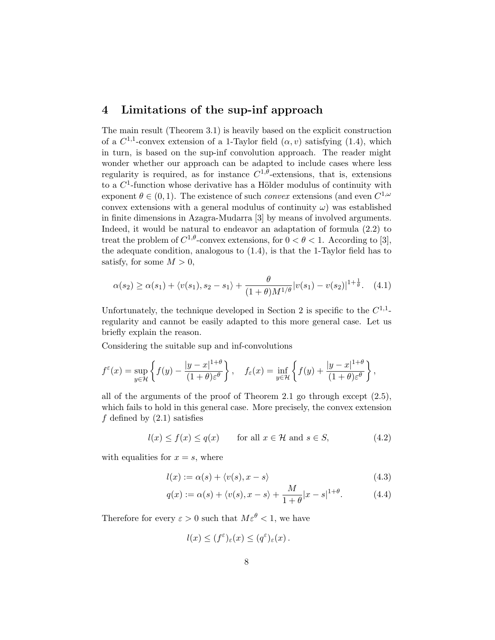## 4 Limitations of the sup-inf approach

The main result (Theorem 3.1) is heavily based on the explicit construction of a  $C^{1,1}$ -convex extension of a 1-Taylor field  $(\alpha, v)$  satisfying (1.4), which in turn, is based on the sup-inf convolution approach. The reader might wonder whether our approach can be adapted to include cases where less regularity is required, as for instance  $C^{1,\theta}$ -extensions, that is, extensions to a  $C^1$ -function whose derivative has a Hölder modulus of continuity with exponent  $\theta \in (0,1)$ . The existence of such *convex* extensions (and even  $C^{1,\omega}$ convex extensions with a general modulus of continuity  $\omega$ ) was established in finite dimensions in Azagra-Mudarra [3] by means of involved arguments. Indeed, it would be natural to endeavor an adaptation of formula (2.2) to treat the problem of  $C^{1,\theta}$ -convex extensions, for  $0 < \theta < 1$ . According to [3], the adequate condition, analogous to (1.4), is that the 1-Taylor field has to satisfy, for some  $M > 0$ ,

$$
\alpha(s_2) \ge \alpha(s_1) + \langle v(s_1), s_2 - s_1 \rangle + \frac{\theta}{(1+\theta)M^{1/\theta}} |v(s_1) - v(s_2)|^{1+\frac{1}{\theta}}.\tag{4.1}
$$

Unfortunately, the technique developed in Section 2 is specific to the  $C^{1,1}$ regularity and cannot be easily adapted to this more general case. Let us briefly explain the reason.

Considering the suitable sup and inf-convolutions

$$
f^{\varepsilon}(x) = \sup_{y \in \mathcal{H}} \left\{ f(y) - \frac{|y - x|^{1+\theta}}{(1+\theta)\varepsilon^{\theta}} \right\}, \quad f_{\varepsilon}(x) = \inf_{y \in \mathcal{H}} \left\{ f(y) + \frac{|y - x|^{1+\theta}}{(1+\theta)\varepsilon^{\theta}} \right\},
$$

all of the arguments of the proof of Theorem 2.1 go through except (2.5), which fails to hold in this general case. More precisely, the convex extension f defined by  $(2.1)$  satisfies

$$
l(x) \le f(x) \le q(x) \qquad \text{for all } x \in \mathcal{H} \text{ and } s \in S,
$$
 (4.2)

with equalities for  $x = s$ , where

$$
l(x) := \alpha(s) + \langle v(s), x - s \rangle \tag{4.3}
$$

$$
q(x) := \alpha(s) + \langle v(s), x - s \rangle + \frac{M}{1 + \theta} |x - s|^{1 + \theta}.
$$
 (4.4)

Therefore for every  $\varepsilon > 0$  such that  $M \varepsilon^{\theta} < 1$ , we have

$$
l(x) \le (f^{\varepsilon})_{\varepsilon}(x) \le (q^{\varepsilon})_{\varepsilon}(x).
$$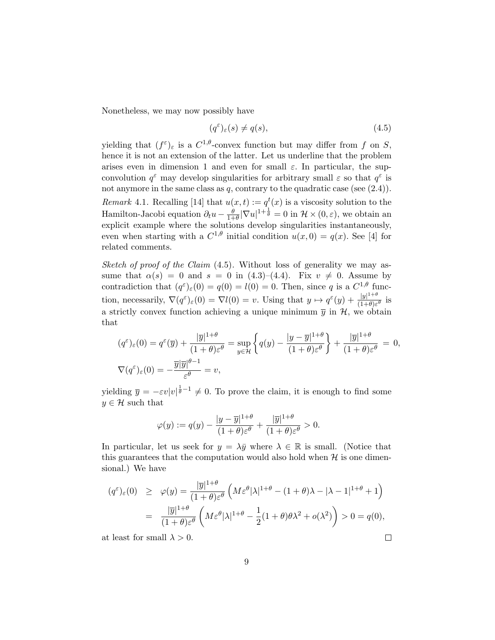Nonetheless, we may now possibly have

$$
(q^{\varepsilon})_{\varepsilon}(s) \neq q(s), \tag{4.5}
$$

yielding that  $(f^{\varepsilon})_{\varepsilon}$  is a  $C^{1,\theta}$ -convex function but may differ from f on S, hence it is not an extension of the latter. Let us underline that the problem arises even in dimension 1 and even for small  $\varepsilon$ . In particular, the supconvolution  $q^{\varepsilon}$  may develop singularities for arbitrary small  $\varepsilon$  so that  $q^{\varepsilon}$  is not anymore in the same class as q, contrary to the quadratic case (see  $(2.4)$ ). Remark 4.1. Recalling [14] that  $u(x,t) := q^t(x)$  is a viscosity solution to the Hamilton-Jacobi equation  $\partial_t u - \frac{\theta}{1+\theta}$  $\frac{\theta}{1+\theta}|\nabla u|^{1+\frac{1}{\theta}}=0$  in  $\mathcal{H}\times(0,\varepsilon)$ , we obtain an explicit example where the solutions develop singularities instantaneously, even when starting with a  $C^{1,\theta}$  initial condition  $u(x,0) = q(x)$ . See [4] for related comments.

Sketch of proof of the Claim (4.5). Without loss of generality we may assume that  $\alpha(s) = 0$  and  $s = 0$  in (4.3)–(4.4). Fix  $v \neq 0$ . Assume by contradiction that  $(q^{\varepsilon})_{\varepsilon}(0) = q(0) = l(0) = 0$ . Then, since q is a  $C^{1,\theta}$  function, necessarily,  $\nabla (q^{\varepsilon})_{\varepsilon}(0) = \nabla l(0) = v$ . Using that  $y \mapsto q^{\varepsilon}(y) + \frac{|y|^{1+\theta}}{(1+\theta)^{\varepsilon}}$  $\frac{|y|}{(1+\theta)\varepsilon^{\theta}}$  is a strictly convex function achieving a unique minimum  $\bar{y}$  in  $\mathcal{H}$ , we obtain that

$$
(q^{\varepsilon})_{\varepsilon}(0) = q^{\varepsilon}(\overline{y}) + \frac{|\overline{y}|^{1+\theta}}{(1+\theta)\varepsilon^{\theta}} = \sup_{y \in \mathcal{H}} \left\{ q(y) - \frac{|y - \overline{y}|^{1+\theta}}{(1+\theta)\varepsilon^{\theta}} \right\} + \frac{|\overline{y}|^{1+\theta}}{(1+\theta)\varepsilon^{\theta}} = 0,
$$
  

$$
\nabla (q^{\varepsilon})_{\varepsilon}(0) = -\frac{\overline{y}|\overline{y}|^{\theta-1}}{\varepsilon^{\theta}} = v,
$$

yielding  $\overline{y} = -\varepsilon v|v|^{\frac{1}{\theta}-1} \neq 0$ . To prove the claim, it is enough to find some  $y \in \mathcal{H}$  such that

$$
\varphi(y) := q(y) - \frac{|y - \overline{y}|^{1+\theta}}{(1+\theta)\varepsilon^{\theta}} + \frac{|\overline{y}|^{1+\theta}}{(1+\theta)\varepsilon^{\theta}} > 0.
$$

In particular, let us seek for  $y = \lambda \bar{y}$  where  $\lambda \in \mathbb{R}$  is small. (Notice that this guarantees that the computation would also hold when  $H$  is one dimensional.) We have

$$
(q^{\varepsilon})_{\varepsilon}(0) \geq \varphi(y) = \frac{|\overline{y}|^{1+\theta}}{(1+\theta)\varepsilon^{\theta}} \left( M\varepsilon^{\theta} |\lambda|^{1+\theta} - (1+\theta)\lambda - |\lambda - 1|^{1+\theta} + 1 \right)
$$

$$
= \frac{|\overline{y}|^{1+\theta}}{(1+\theta)\varepsilon^{\theta}} \left( M\varepsilon^{\theta} |\lambda|^{1+\theta} - \frac{1}{2} (1+\theta)\theta \lambda^{2} + o(\lambda^{2}) \right) > 0 = q(0),
$$

 $\Box$ 

at least for small  $\lambda > 0$ .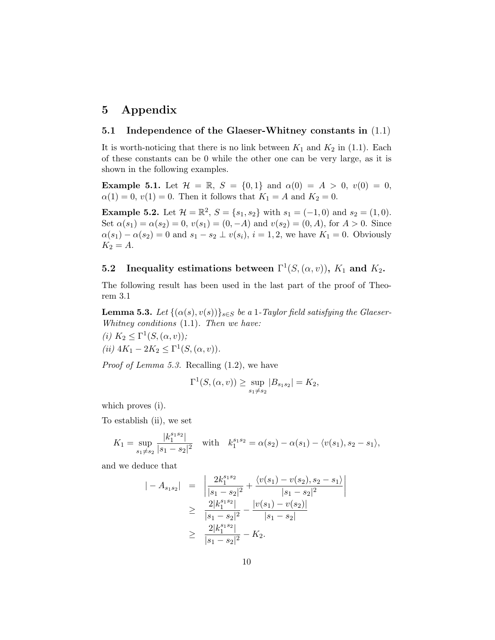# 5 Appendix

### 5.1 Independence of the Glaeser-Whitney constants in (1.1)

It is worth-noticing that there is no link between  $K_1$  and  $K_2$  in (1.1). Each of these constants can be 0 while the other one can be very large, as it is shown in the following examples.

**Example 5.1.** Let  $\mathcal{H} = \mathbb{R}$ ,  $S = \{0, 1\}$  and  $\alpha(0) = A > 0$ ,  $v(0) = 0$ ,  $\alpha(1) = 0, v(1) = 0.$  Then it follows that  $K_1 = A$  and  $K_2 = 0.$ 

**Example 5.2.** Let  $\mathcal{H} = \mathbb{R}^2$ ,  $S = \{s_1, s_2\}$  with  $s_1 = (-1, 0)$  and  $s_2 = (1, 0)$ . Set  $\alpha(s_1) = \alpha(s_2) = 0$ ,  $v(s_1) = (0, -A)$  and  $v(s_2) = (0, A)$ , for  $A > 0$ . Since  $\alpha(s_1) - \alpha(s_2) = 0$  and  $s_1 - s_2 \perp v(s_i)$ ,  $i = 1, 2$ , we have  $K_1 = 0$ . Obviously  $K_2 = A$ .

## **5.2** Inequality estimations between  $\Gamma^1(S, (\alpha, v))$ ,  $K_1$  and  $K_2$ .

The following result has been used in the last part of the proof of Theorem 3.1

**Lemma 5.3.** Let  $\{(\alpha(s), v(s))\}_{s \in S}$  be a 1-Taylor field satisfying the Glaeser-Whitney conditions  $(1.1)$ . Then we have:

(i)  $K_2 \leq \Gamma^1(S,(\alpha,v));$ 

(*ii*) 
$$
4K_1 - 2K_2 \le \Gamma^1(S, (\alpha, v)).
$$

Proof of Lemma 5.3. Recalling (1.2), we have

$$
\Gamma^{1}(S,(\alpha,v)) \geq \sup_{s_1 \neq s_2} |B_{s_1s_2}| = K_2,
$$

which proves (i).

To establish (ii), we set

$$
K_1 = \sup_{s_1 \neq s_2} \frac{|k_1^{s_1s_2}|}{|s_1 - s_2|^2} \quad \text{with} \quad k_1^{s_1s_2} = \alpha(s_2) - \alpha(s_1) - \langle v(s_1), s_2 - s_1 \rangle,
$$

and we deduce that

$$
|-A_{s_1s_2}| = \left| \frac{2k_1^{s_1s_2}}{|s_1 - s_2|^2} + \frac{\langle v(s_1) - v(s_2), s_2 - s_1 \rangle}{|s_1 - s_2|^2} \right|
$$
  
\n
$$
\geq \frac{2|k_1^{s_1s_2}|}{|s_1 - s_2|^2} - \frac{|v(s_1) - v(s_2)|}{|s_1 - s_2|}
$$
  
\n
$$
\geq \frac{2|k_1^{s_1s_2}|}{|s_1 - s_2|^2} - K_2.
$$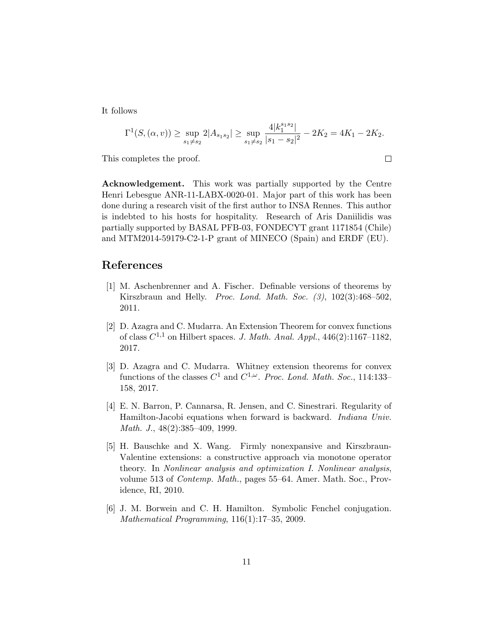It follows

$$
\Gamma^{1}(S,(\alpha,v)) \ge \sup_{s_{1} \neq s_{2}} 2|A_{s_{1}s_{2}}| \ge \sup_{s_{1} \neq s_{2}} \frac{4|k_{1}^{s_{1}s_{2}}|}{|s_{1} - s_{2}|^{2}} - 2K_{2} = 4K_{1} - 2K_{2}.
$$

 $\Box$ 

This completes the proof.

Acknowledgement. This work was partially supported by the Centre Henri Lebesgue ANR-11-LABX-0020-01. Major part of this work has been done during a research visit of the first author to INSA Rennes. This author is indebted to his hosts for hospitality. Research of Aris Daniilidis was partially supported by BASAL PFB-03, FONDECYT grant 1171854 (Chile) and MTM2014-59179-C2-1-P grant of MINECO (Spain) and ERDF (EU).

### References

- [1] M. Aschenbrenner and A. Fischer. Definable versions of theorems by Kirszbraun and Helly. Proc. Lond. Math. Soc. (3), 102(3):468–502, 2011.
- [2] D. Azagra and C. Mudarra. An Extension Theorem for convex functions of class  $C^{1,1}$  on Hilbert spaces. J. Math. Anal. Appl., 446(2):1167-1182, 2017.
- [3] D. Azagra and C. Mudarra. Whitney extension theorems for convex functions of the classes  $C^1$  and  $C^{1,\omega}$ . Proc. Lond. Math. Soc., 114:133-158, 2017.
- [4] E. N. Barron, P. Cannarsa, R. Jensen, and C. Sinestrari. Regularity of Hamilton-Jacobi equations when forward is backward. Indiana Univ. Math. J., 48(2):385–409, 1999.
- [5] H. Bauschke and X. Wang. Firmly nonexpansive and Kirszbraun-Valentine extensions: a constructive approach via monotone operator theory. In Nonlinear analysis and optimization I. Nonlinear analysis, volume 513 of Contemp. Math., pages 55–64. Amer. Math. Soc., Providence, RI, 2010.
- [6] J. M. Borwein and C. H. Hamilton. Symbolic Fenchel conjugation. Mathematical Programming, 116(1):17–35, 2009.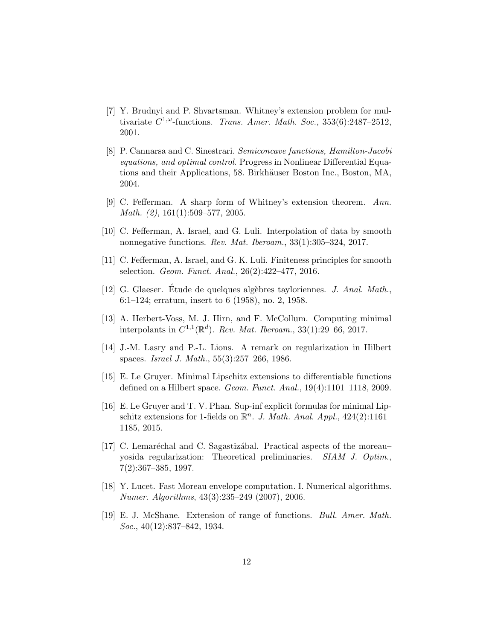- [7] Y. Brudnyi and P. Shvartsman. Whitney's extension problem for multivariate  $C^{1,\omega}$ -functions. Trans. Amer. Math. Soc., 353(6):2487-2512, 2001.
- [8] P. Cannarsa and C. Sinestrari. Semiconcave functions, Hamilton-Jacobi equations, and optimal control. Progress in Nonlinear Differential Equations and their Applications, 58. Birkhäuser Boston Inc., Boston, MA, 2004.
- [9] C. Fefferman. A sharp form of Whitney's extension theorem. Ann. Math. (2), 161(1):509–577, 2005.
- [10] C. Fefferman, A. Israel, and G. Luli. Interpolation of data by smooth nonnegative functions. Rev. Mat. Iberoam., 33(1):305–324, 2017.
- [11] C. Fefferman, A. Israel, and G. K. Luli. Finiteness principles for smooth selection. Geom. Funct. Anal., 26(2):422–477, 2016.
- [12] G. Glaeser. Étude de quelques algèbres tayloriennes. J. Anal. Math., 6:1–124; erratum, insert to 6 (1958), no. 2, 1958.
- [13] A. Herbert-Voss, M. J. Hirn, and F. McCollum. Computing minimal interpolants in  $C^{1,1}(\mathbb{R}^d)$ . Rev. Mat. Iberoam., 33(1):29–66, 2017.
- [14] J.-M. Lasry and P.-L. Lions. A remark on regularization in Hilbert spaces. Israel J. Math., 55(3):257–266, 1986.
- [15] E. Le Gruyer. Minimal Lipschitz extensions to differentiable functions defined on a Hilbert space. Geom. Funct. Anal., 19(4):1101–1118, 2009.
- [16] E. Le Gruyer and T. V. Phan. Sup-inf explicit formulas for minimal Lipschitz extensions for 1-fields on  $\mathbb{R}^n$ . J. Math. Anal. Appl., 424(2):1161– 1185, 2015.
- [17] C. Lemaréchal and C. Sagastizábal. Practical aspects of the more au– yosida regularization: Theoretical preliminaries. SIAM J. Optim., 7(2):367–385, 1997.
- [18] Y. Lucet. Fast Moreau envelope computation. I. Numerical algorithms. Numer. Algorithms, 43(3):235–249 (2007), 2006.
- [19] E. J. McShane. Extension of range of functions. Bull. Amer. Math. Soc., 40(12):837–842, 1934.